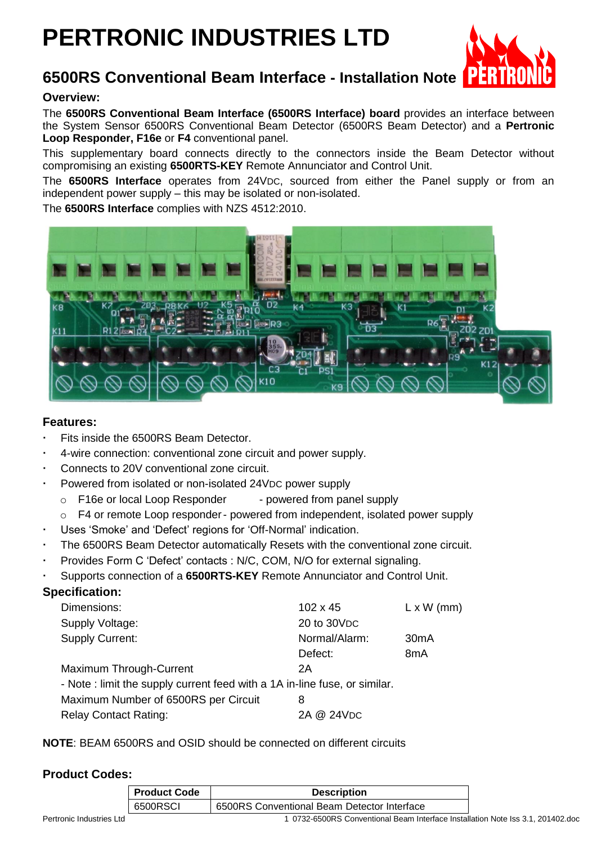# **PERTRONIC INDUSTRIES LTD**



# **6500RS Conventional Beam Interface - Installation Note**

**Overview:**

The **6500RS Conventional Beam Interface (6500RS Interface) board** provides an interface between the System Sensor 6500RS Conventional Beam Detector (6500RS Beam Detector) and a **Pertronic Loop Responder, F16e** or **F4** conventional panel.

This supplementary board connects directly to the connectors inside the Beam Detector without compromising an existing **6500RTS-KEY** Remote Annunciator and Control Unit.

The **6500RS Interface** operates from 24VDC, sourced from either the Panel supply or from an independent power supply – this may be isolated or non-isolated.

The **6500RS Interface** complies with NZS 4512:2010.



## **Features:**

- Fits inside the 6500RS Beam Detector.
- 4-wire connection: conventional zone circuit and power supply.
- Connects to 20V conventional zone circuit.
- Powered from isolated or non-isolated 24VDC power supply
	- o F16e or local Loop Responder powered from panel supply
	- $\circ$  F4 or remote Loop responder- powered from independent, isolated power supply
- Uses 'Smoke' and 'Defect' regions for 'Off-Normal' indication.
- The 6500RS Beam Detector automatically Resets with the conventional zone circuit.
- Provides Form C 'Defect' contacts : N/C, COM, N/O for external signaling.
- Supports connection of a **6500RTS-KEY** Remote Annunciator and Control Unit.

# **Specification:**

| Dimensions:<br>Supply Voltage:                                             | $102 \times 45$<br>20 to 30 VDC | $L \times W$ (mm) |
|----------------------------------------------------------------------------|---------------------------------|-------------------|
| <b>Supply Current:</b>                                                     | Normal/Alarm:                   | 30 <sub>m</sub> A |
|                                                                            | Defect:                         | 8 <sub>m</sub> A  |
| Maximum Through-Current                                                    | 2Α                              |                   |
| - Note : limit the supply current feed with a 1A in-line fuse, or similar. |                                 |                   |
| Maximum Number of 6500RS per Circuit                                       | 8                               |                   |
| <b>Relay Contact Rating:</b>                                               | 2A @ 24VDC                      |                   |

**NOTE**: BEAM 6500RS and OSID should be connected on different circuits

# **Product Codes:**

| <b>Product Code</b> | <b>Description</b>                          |
|---------------------|---------------------------------------------|
| 6500RSCI            | 6500RS Conventional Beam Detector Interface |

Pertronic Industries Ltd 1 0732-6500RS Conventional Beam Interface Installation Note Iss 3.1, 201402.doc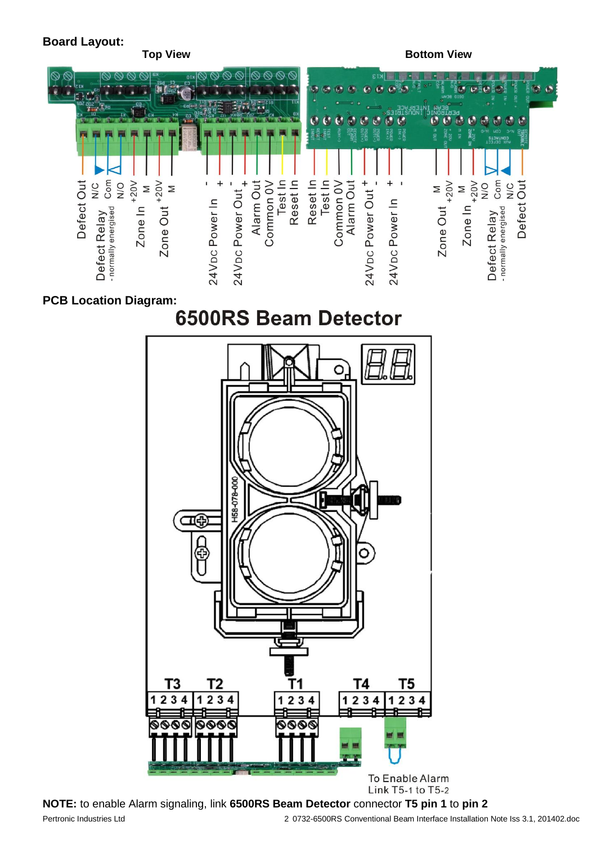## **Board Layout:**

**Top View <b>Bottom View Bottom View** 



# **PCB Location Diagram:**



Pertronic Industries Ltd 2 0732-6500RS Conventional Beam Interface Installation Note Iss 3.1, 201402.doc **NOTE:** to enable Alarm signaling, link **6500RS Beam Detector** connector **T5 pin 1** to **pin 2**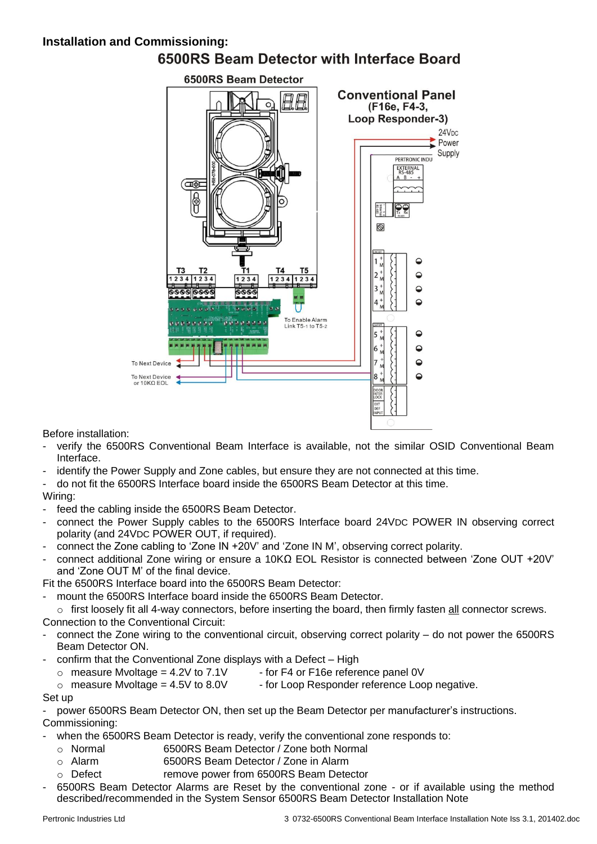# **Installation and Commissioning:** 6500RS Beam Detector with Interface Board



Before installation:

- verify the 6500RS Conventional Beam Interface is available, not the similar OSID Conventional Beam Interface.
- identify the Power Supply and Zone cables, but ensure they are not connected at this time.
- do not fit the 6500RS Interface board inside the 6500RS Beam Detector at this time.

### Wiring:

- feed the cabling inside the 6500RS Beam Detector.
- connect the Power Supply cables to the 6500RS Interface board 24VDC POWER IN observing correct polarity (and 24VDC POWER OUT, if required).
- connect the Zone cabling to 'Zone IN +20V' and 'Zone IN M', observing correct polarity.
- connect additional Zone wiring or ensure a 10KΩ EOL Resistor is connected between 'Zone OUT +20V' and 'Zone OUT M' of the final device.

Fit the 6500RS Interface board into the 6500RS Beam Detector:

mount the 6500RS Interface board inside the 6500RS Beam Detector.

o first loosely fit all 4-way connectors, before inserting the board, then firmly fasten all connector screws. Connection to the Conventional Circuit:

- connect the Zone wiring to the conventional circuit, observing correct polarity do not power the 6500RS Beam Detector ON.
- confirm that the Conventional Zone displays with a Defect High
	- $\circ$  measure Mvoltage = 4.2V to 7.1V for F4 or F16e reference panel 0V
	- $\circ$  measure Mvoltage = 4.5V to 8.0V for Loop Responder reference Loop negative.

#### Set up

power 6500RS Beam Detector ON, then set up the Beam Detector per manufacturer's instructions. Commissioning:

- when the 6500RS Beam Detector is ready, verify the conventional zone responds to:
	- o Normal 6500RS Beam Detector / Zone both Normal
	- o Alarm 6500RS Beam Detector / Zone in Alarm
- o Defect remove power from 6500RS Beam Detector
- 6500RS Beam Detector Alarms are Reset by the conventional zone or if available using the method described/recommended in the System Sensor 6500RS Beam Detector Installation Note